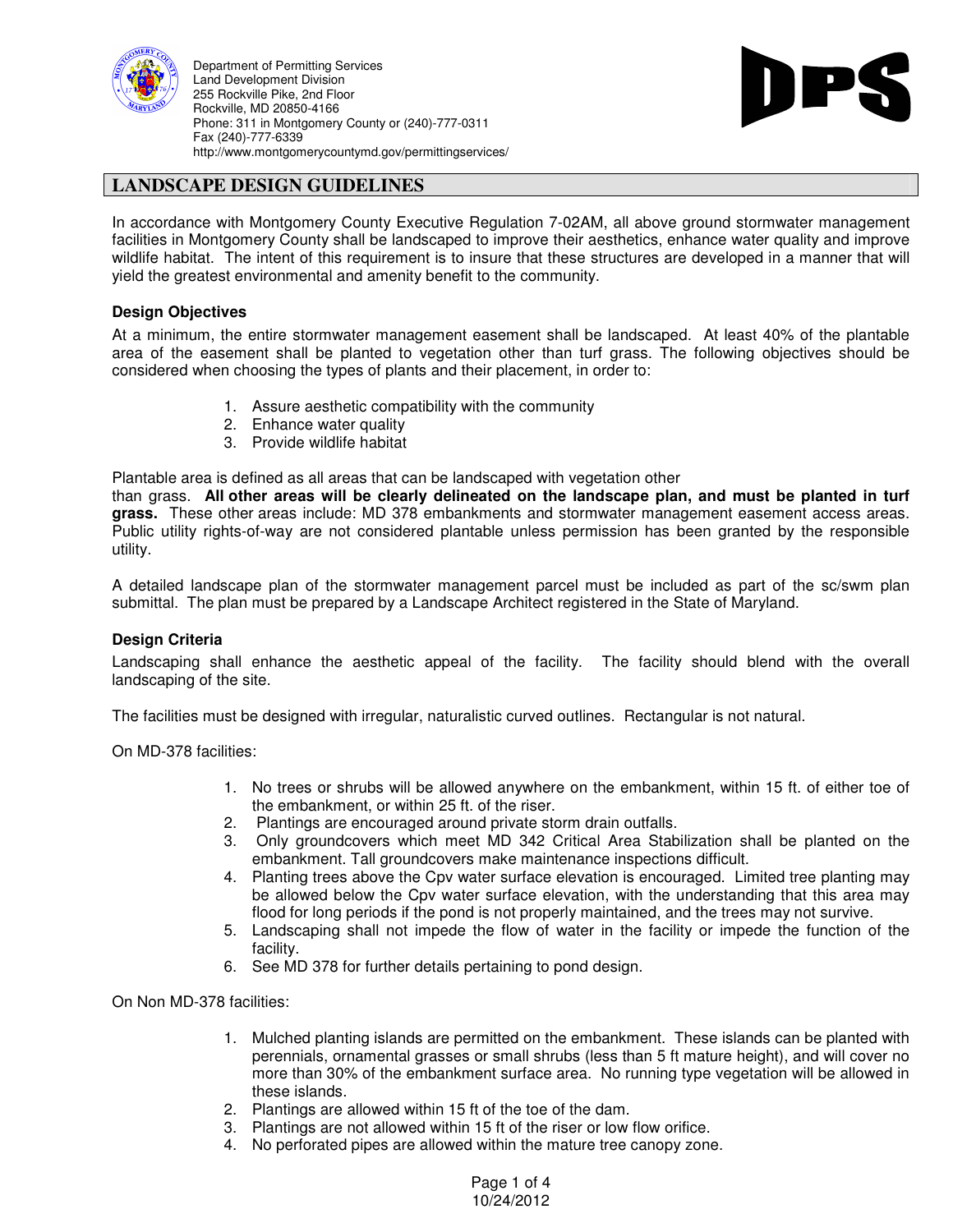

Department of Permitting Services Land Development Division 255 Rockville Pike, 2nd Floor Rockville, MD 20850-4166 Phone: 311 in Montgomery County or (240)-777-0311 Fax (240)-777-6339 http://www.montgomerycountymd.gov/permittingservices/



### **LANDSCAPE DESIGN GUIDELINES**

In accordance with Montgomery County Executive Regulation 7-02AM, all above ground stormwater management facilities in Montgomery County shall be landscaped to improve their aesthetics, enhance water quality and improve wildlife habitat. The intent of this requirement is to insure that these structures are developed in a manner that will yield the greatest environmental and amenity benefit to the community.

#### **Design Objectives**

At a minimum, the entire stormwater management easement shall be landscaped. At least 40% of the plantable area of the easement shall be planted to vegetation other than turf grass. The following objectives should be considered when choosing the types of plants and their placement, in order to:

- 1. Assure aesthetic compatibility with the community
- 2. Enhance water quality
- 3. Provide wildlife habitat

Plantable area is defined as all areas that can be landscaped with vegetation other

than grass. **All other areas will be clearly delineated on the landscape plan, and must be planted in turf grass.** These other areas include: MD 378 embankments and stormwater management easement access areas. Public utility rights-of-way are not considered plantable unless permission has been granted by the responsible utility.

A detailed landscape plan of the stormwater management parcel must be included as part of the sc/swm plan submittal. The plan must be prepared by a Landscape Architect registered in the State of Maryland.

#### **Design Criteria**

Landscaping shall enhance the aesthetic appeal of the facility. The facility should blend with the overall landscaping of the site.

The facilities must be designed with irregular, naturalistic curved outlines. Rectangular is not natural.

On MD-378 facilities:

- 1. No trees or shrubs will be allowed anywhere on the embankment, within 15 ft. of either toe of the embankment, or within 25 ft. of the riser.
- 2. Plantings are encouraged around private storm drain outfalls.
- 3. Only groundcovers which meet MD 342 Critical Area Stabilization shall be planted on the embankment. Tall groundcovers make maintenance inspections difficult.
- 4. Planting trees above the Cpv water surface elevation is encouraged. Limited tree planting may be allowed below the Cpv water surface elevation, with the understanding that this area may flood for long periods if the pond is not properly maintained, and the trees may not survive.
- 5. Landscaping shall not impede the flow of water in the facility or impede the function of the facility.
- 6. See MD 378 for further details pertaining to pond design.

On Non MD-378 facilities:

- 1. Mulched planting islands are permitted on the embankment. These islands can be planted with perennials, ornamental grasses or small shrubs (less than 5 ft mature height), and will cover no more than 30% of the embankment surface area. No running type vegetation will be allowed in these islands.
- 2. Plantings are allowed within 15 ft of the toe of the dam.
- 3. Plantings are not allowed within 15 ft of the riser or low flow orifice.
- 4. No perforated pipes are allowed within the mature tree canopy zone.

Page 1 of 4 10/24/2012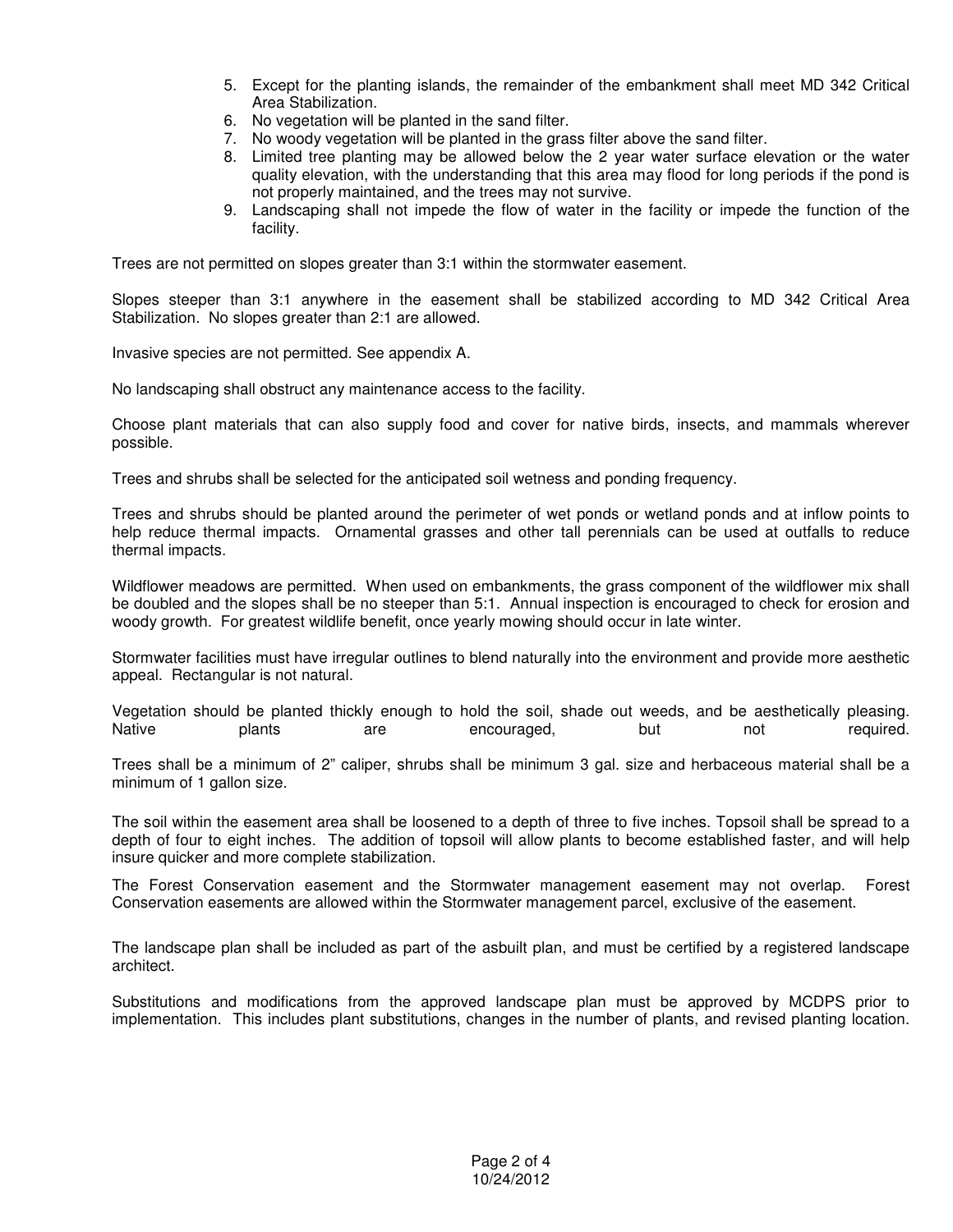- 5. Except for the planting islands, the remainder of the embankment shall meet MD 342 Critical Area Stabilization.
- 6. No vegetation will be planted in the sand filter.
- 7. No woody vegetation will be planted in the grass filter above the sand filter.
- 8. Limited tree planting may be allowed below the 2 year water surface elevation or the water quality elevation, with the understanding that this area may flood for long periods if the pond is not properly maintained, and the trees may not survive.
- 9. Landscaping shall not impede the flow of water in the facility or impede the function of the facility.

Trees are not permitted on slopes greater than 3:1 within the stormwater easement.

Slopes steeper than 3:1 anywhere in the easement shall be stabilized according to MD 342 Critical Area Stabilization. No slopes greater than 2:1 are allowed.

Invasive species are not permitted. See appendix A.

No landscaping shall obstruct any maintenance access to the facility.

Choose plant materials that can also supply food and cover for native birds, insects, and mammals wherever possible.

Trees and shrubs shall be selected for the anticipated soil wetness and ponding frequency.

Trees and shrubs should be planted around the perimeter of wet ponds or wetland ponds and at inflow points to help reduce thermal impacts. Ornamental grasses and other tall perennials can be used at outfalls to reduce thermal impacts.

Wildflower meadows are permitted. When used on embankments, the grass component of the wildflower mix shall be doubled and the slopes shall be no steeper than 5:1. Annual inspection is encouraged to check for erosion and woody growth. For greatest wildlife benefit, once yearly mowing should occur in late winter.

Stormwater facilities must have irregular outlines to blend naturally into the environment and provide more aesthetic appeal. Rectangular is not natural.

Vegetation should be planted thickly enough to hold the soil, shade out weeds, and be aesthetically pleasing.<br>Native but hot required. are encouraged, but not

Trees shall be a minimum of 2" caliper, shrubs shall be minimum 3 gal. size and herbaceous material shall be a minimum of 1 gallon size.

The soil within the easement area shall be loosened to a depth of three to five inches. Topsoil shall be spread to a depth of four to eight inches. The addition of topsoil will allow plants to become established faster, and will help insure quicker and more complete stabilization.

The Forest Conservation easement and the Stormwater management easement may not overlap. Forest Conservation easements are allowed within the Stormwater management parcel, exclusive of the easement.

The landscape plan shall be included as part of the asbuilt plan, and must be certified by a registered landscape architect.

Substitutions and modifications from the approved landscape plan must be approved by MCDPS prior to implementation. This includes plant substitutions, changes in the number of plants, and revised planting location.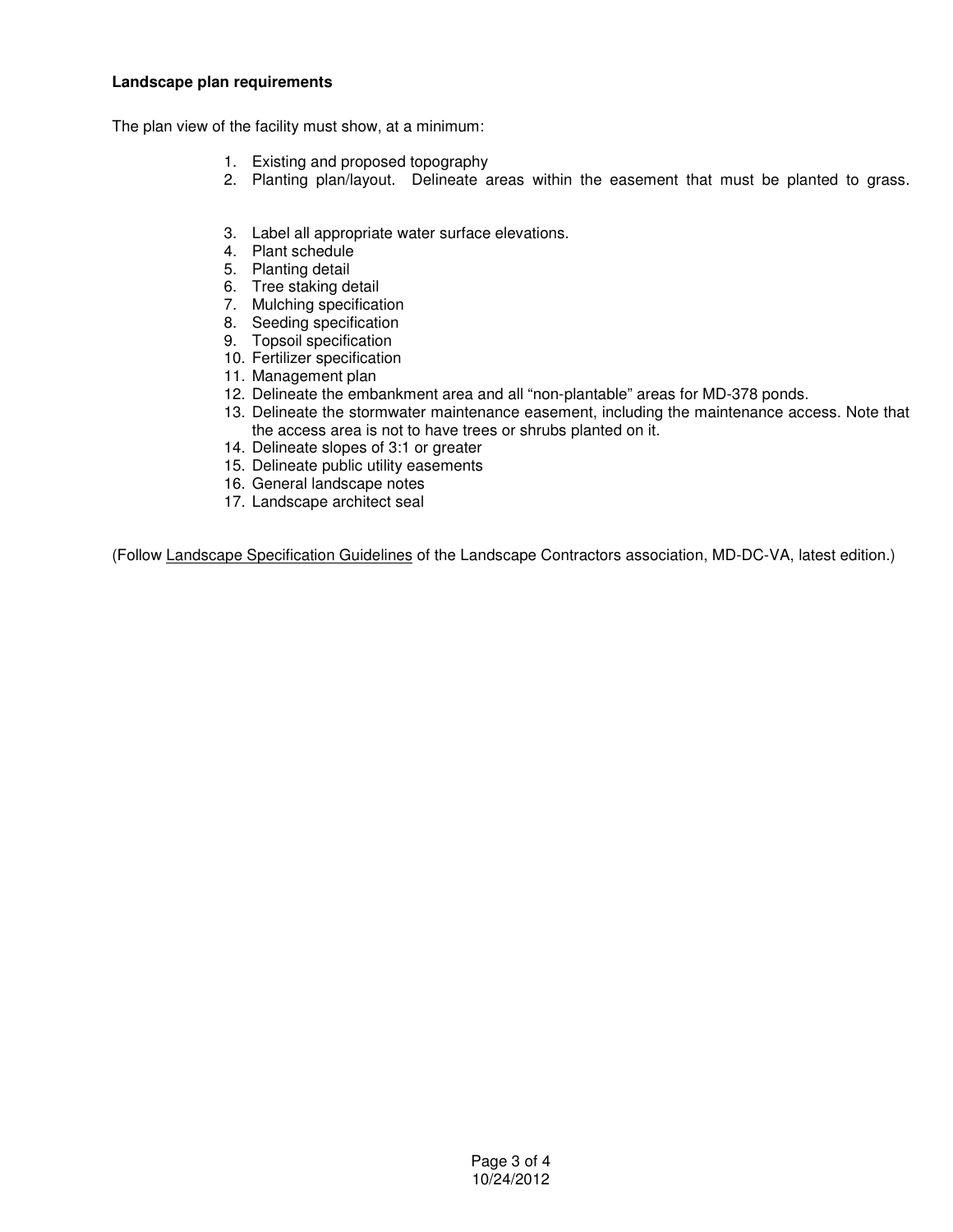#### **Landscape plan requirements**

The plan view of the facility must show, at a minimum:

- 1. Existing and proposed topography
- 2. Planting plan/layout. Delineate areas within the easement that must be planted to grass.
- 3. Label all appropriate water surface elevations.
- 4. Plant schedule
- 5. Planting detail
- 6. Tree staking detail
- 7. Mulching specification
- 8. Seeding specification
- 9. Topsoil specification
- 10. Fertilizer specification
- 11. Management plan
- 12. Delineate the embankment area and all "non-plantable" areas for MD-378 ponds.
- 13. Delineate the stormwater maintenance easement, including the maintenance access. Note that the access area is not to have trees or shrubs planted on it.
- 14. Delineate slopes of 3:1 or greater
- 15. Delineate public utility easements
- 16. General landscape notes
- 17. Landscape architect seal

(Follow Landscape Specification Guidelines of the Landscape Contractors association, MD-DC-VA, latest edition.)